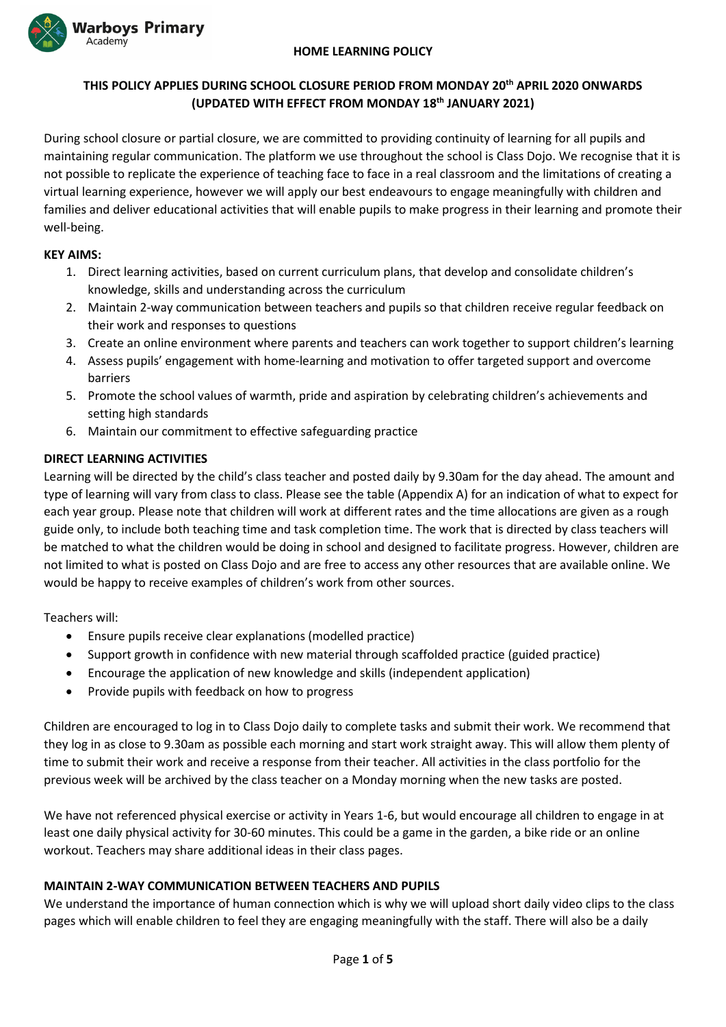

#### **HOME LEARNING POLICY**

## **THIS POLICY APPLIES DURING SCHOOL CLOSURE PERIOD FROM MONDAY 20th APRIL 2020 ONWARDS (UPDATED WITH EFFECT FROM MONDAY 18th JANUARY 2021)**

During school closure or partial closure, we are committed to providing continuity of learning for all pupils and maintaining regular communication. The platform we use throughout the school is Class Dojo. We recognise that it is not possible to replicate the experience of teaching face to face in a real classroom and the limitations of creating a virtual learning experience, however we will apply our best endeavours to engage meaningfully with children and families and deliver educational activities that will enable pupils to make progress in their learning and promote their well-being.

#### **KEY AIMS:**

- 1. Direct learning activities, based on current curriculum plans, that develop and consolidate children's knowledge, skills and understanding across the curriculum
- 2. Maintain 2-way communication between teachers and pupils so that children receive regular feedback on their work and responses to questions
- 3. Create an online environment where parents and teachers can work together to support children's learning
- 4. Assess pupils' engagement with home-learning and motivation to offer targeted support and overcome barriers
- 5. Promote the school values of warmth, pride and aspiration by celebrating children's achievements and setting high standards
- 6. Maintain our commitment to effective safeguarding practice

#### **DIRECT LEARNING ACTIVITIES**

Learning will be directed by the child's class teacher and posted daily by 9.30am for the day ahead. The amount and type of learning will vary from class to class. Please see the table (Appendix A) for an indication of what to expect for each year group. Please note that children will work at different rates and the time allocations are given as a rough guide only, to include both teaching time and task completion time. The work that is directed by class teachers will be matched to what the children would be doing in school and designed to facilitate progress. However, children are not limited to what is posted on Class Dojo and are free to access any other resources that are available online. We would be happy to receive examples of children's work from other sources.

Teachers will:

- Ensure pupils receive clear explanations (modelled practice)
- Support growth in confidence with new material through scaffolded practice (guided practice)
- Encourage the application of new knowledge and skills (independent application)
- Provide pupils with feedback on how to progress

Children are encouraged to log in to Class Dojo daily to complete tasks and submit their work. We recommend that they log in as close to 9.30am as possible each morning and start work straight away. This will allow them plenty of time to submit their work and receive a response from their teacher. All activities in the class portfolio for the previous week will be archived by the class teacher on a Monday morning when the new tasks are posted.

We have not referenced physical exercise or activity in Years 1-6, but would encourage all children to engage in at least one daily physical activity for 30-60 minutes. This could be a game in the garden, a bike ride or an online workout. Teachers may share additional ideas in their class pages.

### **MAINTAIN 2-WAY COMMUNICATION BETWEEN TEACHERS AND PUPILS**

We understand the importance of human connection which is why we will upload short daily video clips to the class pages which will enable children to feel they are engaging meaningfully with the staff. There will also be a daily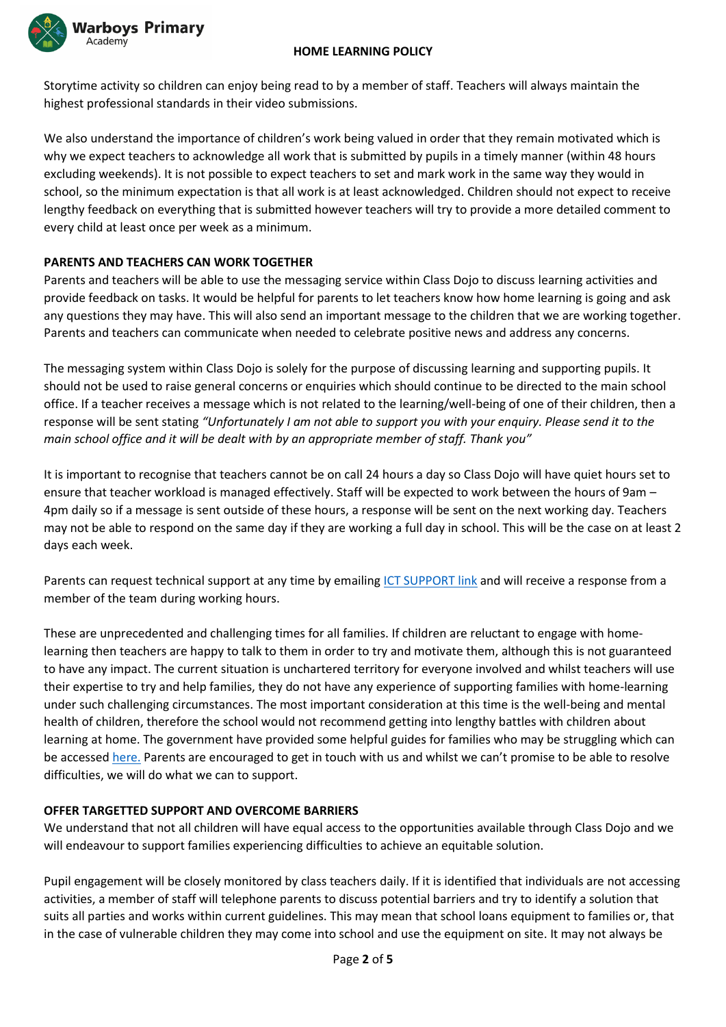

Storytime activity so children can enjoy being read to by a member of staff. Teachers will always maintain the highest professional standards in their video submissions.

We also understand the importance of children's work being valued in order that they remain motivated which is why we expect teachers to acknowledge all work that is submitted by pupils in a timely manner (within 48 hours excluding weekends). It is not possible to expect teachers to set and mark work in the same way they would in school, so the minimum expectation is that all work is at least acknowledged. Children should not expect to receive lengthy feedback on everything that is submitted however teachers will try to provide a more detailed comment to every child at least once per week as a minimum.

## **PARENTS AND TEACHERS CAN WORK TOGETHER**

Parents and teachers will be able to use the messaging service within Class Dojo to discuss learning activities and provide feedback on tasks. It would be helpful for parents to let teachers know how home learning is going and ask any questions they may have. This will also send an important message to the children that we are working together. Parents and teachers can communicate when needed to celebrate positive news and address any concerns.

The messaging system within Class Dojo is solely for the purpose of discussing learning and supporting pupils. It should not be used to raise general concerns or enquiries which should continue to be directed to the main school office. If a teacher receives a message which is not related to the learning/well-being of one of their children, then a response will be sent stating *"Unfortunately I am not able to support you with your enquiry. Please send it to the main school office and it will be dealt with by an appropriate member of staff. Thank you"*

It is important to recognise that teachers cannot be on call 24 hours a day so Class Dojo will have quiet hours set to ensure that teacher workload is managed effectively. Staff will be expected to work between the hours of 9am – 4pm daily so if a message is sent outside of these hours, a response will be sent on the next working day. Teachers may not be able to respond on the same day if they are working a full day in school. This will be the case on at least 2 days each week.

Parents can request technical support at any time by emailing [ICT SUPPORT link](https://www.wpa.education/form/?pid=2&form=30) and will receive a response from a member of the team during working hours.

These are unprecedented and challenging times for all families. If children are reluctant to engage with homelearning then teachers are happy to talk to them in order to try and motivate them, although this is not guaranteed to have any impact. The current situation is unchartered territory for everyone involved and whilst teachers will use their expertise to try and help families, they do not have any experience of supporting families with home-learning under such challenging circumstances. The most important consideration at this time is the well-being and mental health of children, therefore the school would not recommend getting into lengthy battles with children about learning at home. The government have provided some helpful guides for families who may be struggling which can be accessed [here.](https://www.gov.uk/government/publications/covid-19-guidance-on-supporting-children-and-young-peoples-mental-health-and-wellbeing) Parents are encouraged to get in touch with us and whilst we can't promise to be able to resolve difficulties, we will do what we can to support.

### **OFFER TARGETTED SUPPORT AND OVERCOME BARRIERS**

We understand that not all children will have equal access to the opportunities available through Class Dojo and we will endeavour to support families experiencing difficulties to achieve an equitable solution.

Pupil engagement will be closely monitored by class teachers daily. If it is identified that individuals are not accessing activities, a member of staff will telephone parents to discuss potential barriers and try to identify a solution that suits all parties and works within current guidelines. This may mean that school loans equipment to families or, that in the case of vulnerable children they may come into school and use the equipment on site. It may not always be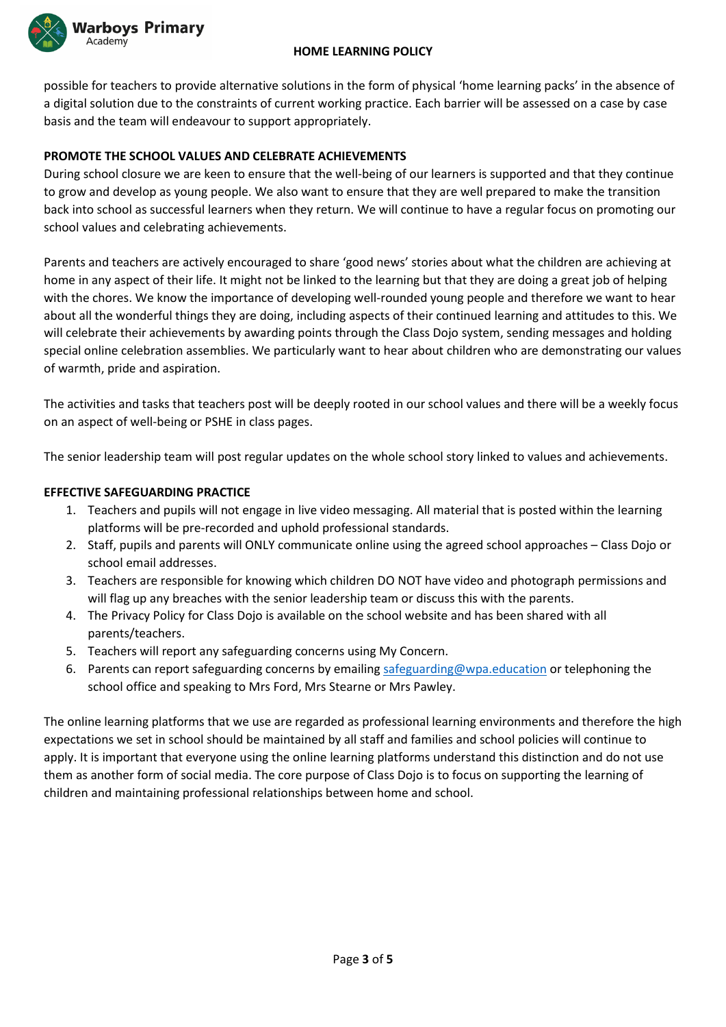### **HOME LEARNING POLICY**



possible for teachers to provide alternative solutions in the form of physical 'home learning packs' in the absence of a digital solution due to the constraints of current working practice. Each barrier will be assessed on a case by case basis and the team will endeavour to support appropriately.

## **PROMOTE THE SCHOOL VALUES AND CELEBRATE ACHIEVEMENTS**

During school closure we are keen to ensure that the well-being of our learners is supported and that they continue to grow and develop as young people. We also want to ensure that they are well prepared to make the transition back into school as successful learners when they return. We will continue to have a regular focus on promoting our school values and celebrating achievements.

Parents and teachers are actively encouraged to share 'good news' stories about what the children are achieving at home in any aspect of their life. It might not be linked to the learning but that they are doing a great job of helping with the chores. We know the importance of developing well-rounded young people and therefore we want to hear about all the wonderful things they are doing, including aspects of their continued learning and attitudes to this. We will celebrate their achievements by awarding points through the Class Dojo system, sending messages and holding special online celebration assemblies. We particularly want to hear about children who are demonstrating our values of warmth, pride and aspiration.

The activities and tasks that teachers post will be deeply rooted in our school values and there will be a weekly focus on an aspect of well-being or PSHE in class pages.

The senior leadership team will post regular updates on the whole school story linked to values and achievements.

## **EFFECTIVE SAFEGUARDING PRACTICE**

- 1. Teachers and pupils will not engage in live video messaging. All material that is posted within the learning platforms will be pre-recorded and uphold professional standards.
- 2. Staff, pupils and parents will ONLY communicate online using the agreed school approaches Class Dojo or school email addresses.
- 3. Teachers are responsible for knowing which children DO NOT have video and photograph permissions and will flag up any breaches with the senior leadership team or discuss this with the parents.
- 4. The Privacy Policy for Class Dojo is available on the school website and has been shared with all parents/teachers.
- 5. Teachers will report any safeguarding concerns using My Concern.
- 6. Parents can report safeguarding concerns by emailing [safeguarding@wpa.education](mailto:safeguarding@wpa.education) or telephoning the school office and speaking to Mrs Ford, Mrs Stearne or Mrs Pawley.

The online learning platforms that we use are regarded as professional learning environments and therefore the high expectations we set in school should be maintained by all staff and families and school policies will continue to apply. It is important that everyone using the online learning platforms understand this distinction and do not use them as another form of social media. The core purpose of Class Dojo is to focus on supporting the learning of children and maintaining professional relationships between home and school.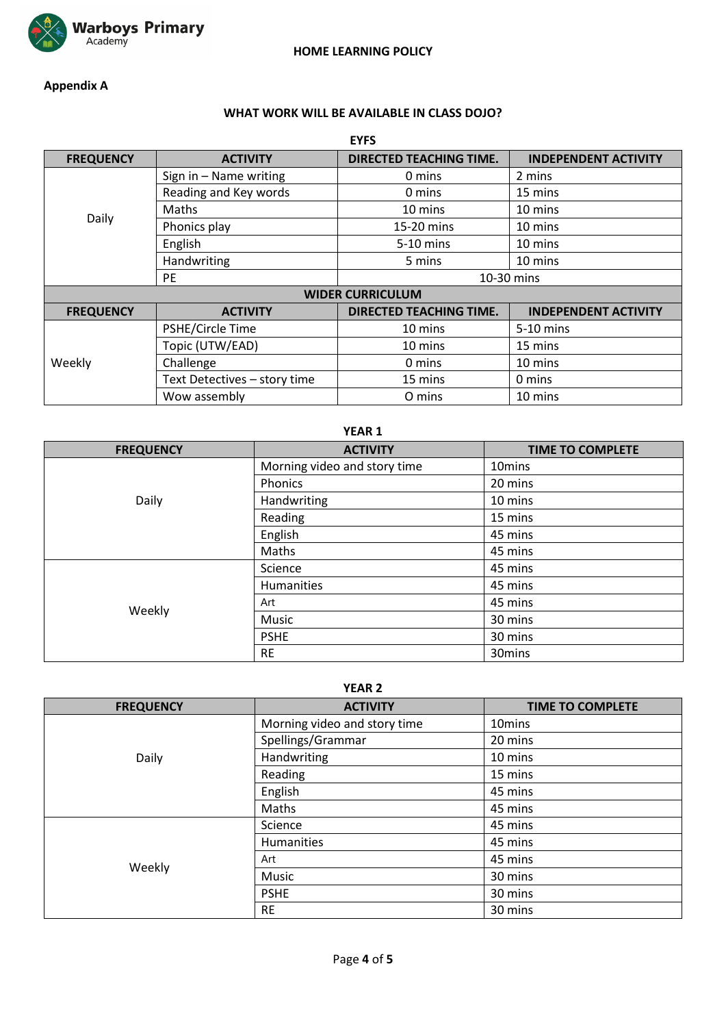

#### **Appendix A**

#### **WHAT WORK WILL BE AVAILABLE IN CLASS DOJO?**

| <b>EYFS</b>             |                              |                                |                             |  |  |
|-------------------------|------------------------------|--------------------------------|-----------------------------|--|--|
| <b>FREQUENCY</b>        | <b>ACTIVITY</b>              | <b>DIRECTED TEACHING TIME.</b> | <b>INDEPENDENT ACTIVITY</b> |  |  |
| Daily                   | Sign in $-$ Name writing     | 0 mins                         | 2 mins                      |  |  |
|                         | Reading and Key words        | 0 mins                         | 15 mins                     |  |  |
|                         | Maths                        | 10 mins                        | 10 mins                     |  |  |
|                         | Phonics play                 | 15-20 mins                     | 10 mins                     |  |  |
|                         | English                      | 5-10 mins                      | 10 mins                     |  |  |
|                         | Handwriting                  | 5 mins                         | 10 mins                     |  |  |
|                         | <b>PE</b>                    |                                | 10-30 mins                  |  |  |
| <b>WIDER CURRICULUM</b> |                              |                                |                             |  |  |
| <b>FREQUENCY</b>        | <b>ACTIVITY</b>              | <b>DIRECTED TEACHING TIME.</b> | <b>INDEPENDENT ACTIVITY</b> |  |  |
| Weekly                  | PSHE/Circle Time             | 10 mins                        | 5-10 mins                   |  |  |
|                         | Topic (UTW/EAD)              | 10 mins                        | 15 mins                     |  |  |
|                         | Challenge                    | 0 mins                         | 10 mins                     |  |  |
|                         | Text Detectives - story time | 15 mins                        | 0 mins                      |  |  |
|                         | Wow assembly                 | O mins                         | 10 mins                     |  |  |

#### **YEAR 1 FREQUENCY ACTIVITY TIME TO COMPLETE** Daily Morning video and story time | 10mins Phonics 20 mins Handwriting 10 mins Reading 2012 and 2013 and 2014 and 2015 and 2016 and 2018 and 2018 and 2019 and 2019 and 2019 and 2019 and 201 English 25 mins Maths 1999 and 1999 and 1999 and 1999 and 1999 and 1999 and 1999 and 1999 and 1999 and 1999 and 199 Weekly Science 45 mins Humanities 2012 and 145 mins Art 45 mins Music 30 mins PSHE 30 mins RE 30mins

**YEAR 2**

| <b>FREQUENCY</b> | <b>ACTIVITY</b>              | <b>TIME TO COMPLETE</b> |
|------------------|------------------------------|-------------------------|
|                  | Morning video and story time | 10 <sub>mins</sub>      |
|                  | Spellings/Grammar            | 20 mins                 |
| Daily            | Handwriting                  | 10 mins                 |
|                  | Reading                      | 15 mins                 |
|                  | English                      | 45 mins                 |
|                  | Maths                        | 45 mins                 |
|                  | Science                      | 45 mins                 |
|                  | Humanities                   | 45 mins                 |
|                  | Art                          | 45 mins                 |
| Weekly           | Music                        | 30 mins                 |
|                  | <b>PSHE</b>                  | 30 mins                 |
|                  | <b>RE</b>                    | 30 mins                 |